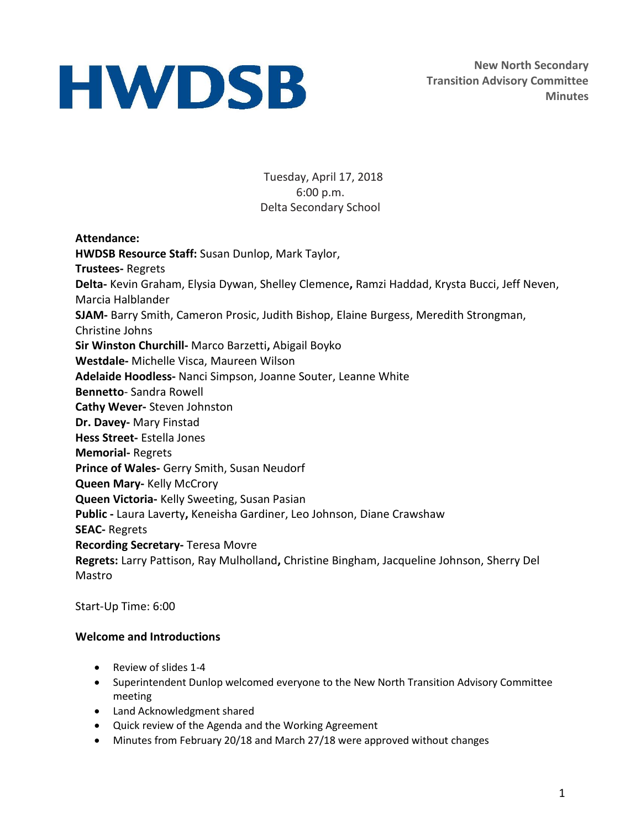**New North Secondary Transition Advisory Committee Minutes**

Tuesday, April 17, 2018 6:00 p.m. Delta Secondary School

#### **Attendance:**

**HWDSB Resource Staff:** Susan Dunlop, Mark Taylor, **Trustees-** Regrets **Delta-** Kevin Graham, Elysia Dywan, Shelley Clemence**,** Ramzi Haddad, Krysta Bucci, Jeff Neven, Marcia Halblander **SJAM-** Barry Smith, Cameron Prosic, Judith Bishop, Elaine Burgess, Meredith Strongman, Christine Johns **Sir Winston Churchill-** Marco Barzetti**,** Abigail Boyko **Westdale-** Michelle Visca, Maureen Wilson **Adelaide Hoodless-** Nanci Simpson, Joanne Souter, Leanne White **Bennetto**- Sandra Rowell **Cathy Wever-** Steven Johnston **Dr. Davey-** Mary Finstad **Hess Street-** Estella Jones **Memorial-** Regrets **Prince of Wales-** Gerry Smith, Susan Neudorf **Queen Mary-** Kelly McCrory **Queen Victoria-** Kelly Sweeting, Susan Pasian **Public -** Laura Laverty**,** Keneisha Gardiner, Leo Johnson, Diane Crawshaw **SEAC-** Regrets **Recording Secretary-** Teresa Movre **Regrets:** Larry Pattison, Ray Mulholland**,** Christine Bingham, Jacqueline Johnson, Sherry Del Mastro

Start-Up Time: 6:00

#### **Welcome and Introductions**

- Review of slides 1-4
- Superintendent Dunlop welcomed everyone to the New North Transition Advisory Committee meeting
- Land Acknowledgment shared
- Quick review of the Agenda and the Working Agreement
- Minutes from February 20/18 and March 27/18 were approved without changes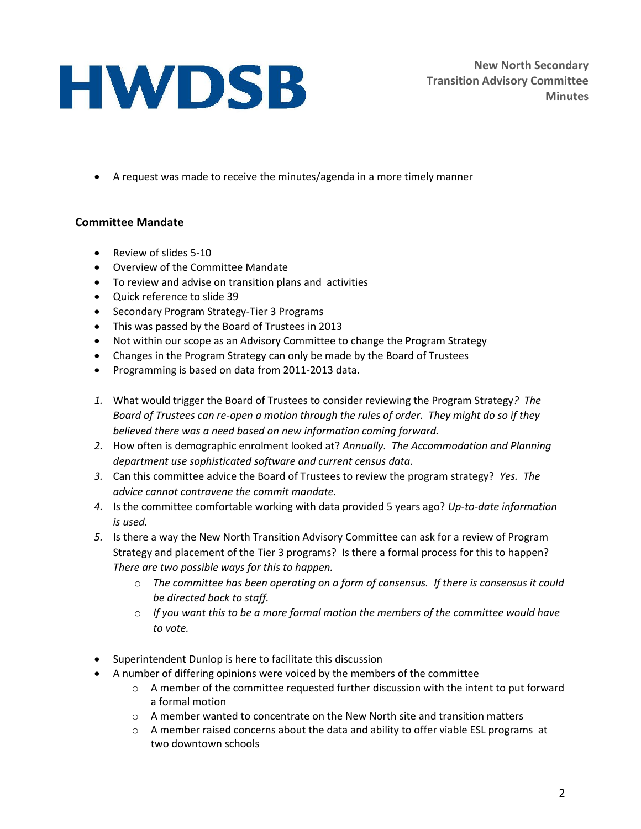**New North Secondary Transition Advisory Committee Minutes**

A request was made to receive the minutes/agenda in a more timely manner

### **Committee Mandate**

- Review of slides 5-10
- Overview of the Committee Mandate
- To review and advise on transition plans and activities
- Quick reference to slide 39
- Secondary Program Strategy-Tier 3 Programs
- This was passed by the Board of Trustees in 2013
- Not within our scope as an Advisory Committee to change the Program Strategy
- Changes in the Program Strategy can only be made by the Board of Trustees
- Programming is based on data from 2011-2013 data.
- *1.* What would trigger the Board of Trustees to consider reviewing the Program Strategy*? The Board of Trustees can re-open a motion through the rules of order. They might do so if they believed there was a need based on new information coming forward.*
- *2.* How often is demographic enrolment looked at? *Annually. The Accommodation and Planning department use sophisticated software and current census data.*
- *3.* Can this committee advice the Board of Trustees to review the program strategy? *Yes. The advice cannot contravene the commit mandate.*
- *4.* Is the committee comfortable working with data provided 5 years ago? *Up-to-date information is used.*
- *5.* Is there a way the New North Transition Advisory Committee can ask for a review of Program Strategy and placement of the Tier 3 programs? Is there a formal process for this to happen? *There are two possible ways for this to happen.* 
	- o *The committee has been operating on a form of consensus. If there is consensus it could be directed back to staff.*
	- o *If you want this to be a more formal motion the members of the committee would have to vote.*
- Superintendent Dunlop is here to facilitate this discussion
- A number of differing opinions were voiced by the members of the committee
	- $\circ$  A member of the committee requested further discussion with the intent to put forward a formal motion
	- $\circ$  A member wanted to concentrate on the New North site and transition matters
	- $\circ$  A member raised concerns about the data and ability to offer viable ESL programs at two downtown schools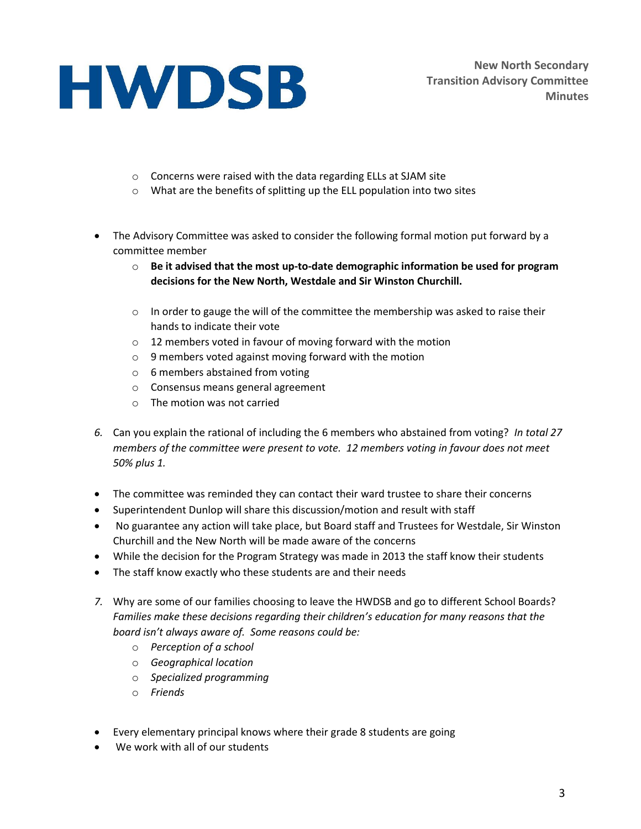- o Concerns were raised with the data regarding ELLs at SJAM site
- o What are the benefits of splitting up the ELL population into two sites
- The Advisory Committee was asked to consider the following formal motion put forward by a committee member
	- o **Be it advised that the most up-to-date demographic information be used for program decisions for the New North, Westdale and Sir Winston Churchill.**
	- $\circ$  In order to gauge the will of the committee the membership was asked to raise their hands to indicate their vote
	- o 12 members voted in favour of moving forward with the motion
	- o 9 members voted against moving forward with the motion
	- o 6 members abstained from voting
	- o Consensus means general agreement
	- o The motion was not carried
- *6.* Can you explain the rational of including the 6 members who abstained from voting? *In total 27 members of the committee were present to vote. 12 members voting in favour does not meet 50% plus 1.*
- The committee was reminded they can contact their ward trustee to share their concerns
- Superintendent Dunlop will share this discussion/motion and result with staff
- No guarantee any action will take place, but Board staff and Trustees for Westdale, Sir Winston Churchill and the New North will be made aware of the concerns
- While the decision for the Program Strategy was made in 2013 the staff know their students
- The staff know exactly who these students are and their needs
- *7.* Why are some of our families choosing to leave the HWDSB and go to different School Boards? *Families make these decisions regarding their children's education for many reasons that the board isn't always aware of. Some reasons could be:* 
	- o *Perception of a school*
	- o *Geographical location*
	- o *Specialized programming*
	- o *Friends*
- Every elementary principal knows where their grade 8 students are going
- We work with all of our students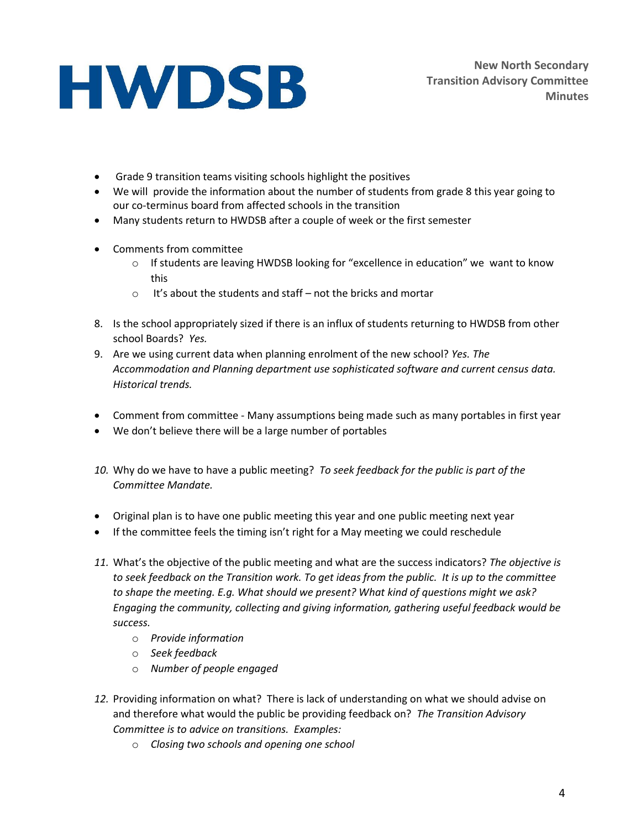- Grade 9 transition teams visiting schools highlight the positives
- We will provide the information about the number of students from grade 8 this year going to our co-terminus board from affected schools in the transition
- Many students return to HWDSB after a couple of week or the first semester
- Comments from committee
	- $\circ$  If students are leaving HWDSB looking for "excellence in education" we want to know this
	- $\circ$  It's about the students and staff not the bricks and mortar
- 8. Is the school appropriately sized if there is an influx of students returning to HWDSB from other school Boards? *Yes.*
- 9. Are we using current data when planning enrolment of the new school? *Yes. The Accommodation and Planning department use sophisticated software and current census data. Historical trends.*
- Comment from committee Many assumptions being made such as many portables in first year
- We don't believe there will be a large number of portables
- *10.* Why do we have to have a public meeting? *To seek feedback for the public is part of the Committee Mandate.*
- Original plan is to have one public meeting this year and one public meeting next year
- If the committee feels the timing isn't right for a May meeting we could reschedule
- *11.* What's the objective of the public meeting and what are the success indicators? *The objective is to seek feedback on the Transition work. To get ideas from the public. It is up to the committee to shape the meeting. E.g. What should we present? What kind of questions might we ask? Engaging the community, collecting and giving information, gathering useful feedback would be success.*
	- o *Provide information*
	- o *Seek feedback*
	- o *Number of people engaged*
- *12.* Providing information on what? There is lack of understanding on what we should advise on and therefore what would the public be providing feedback on? *The Transition Advisory Committee is to advice on transitions. Examples:* 
	- o *Closing two schools and opening one school*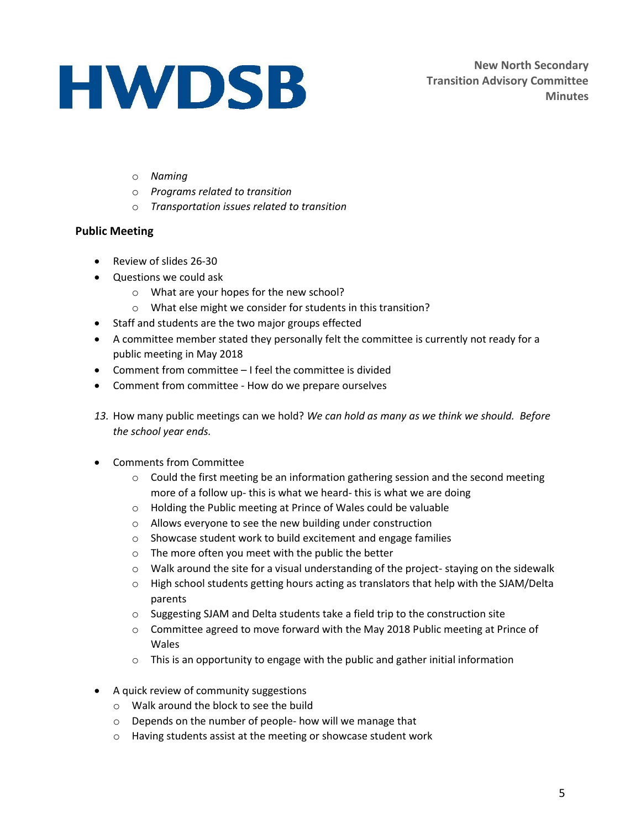**New North Secondary Transition Advisory Committee Minutes**

- o *Naming*
- o *Programs related to transition*
- o *Transportation issues related to transition*

#### **Public Meeting**

- Review of slides 26-30
- Questions we could ask
	- o What are your hopes for the new school?
	- o What else might we consider for students in this transition?
- Staff and students are the two major groups effected
- A committee member stated they personally felt the committee is currently not ready for a public meeting in May 2018
- Comment from committee I feel the committee is divided
- Comment from committee How do we prepare ourselves
- *13.* How many public meetings can we hold? *We can hold as many as we think we should. Before the school year ends.*
- Comments from Committee
	- $\circ$  Could the first meeting be an information gathering session and the second meeting more of a follow up- this is what we heard- this is what we are doing
	- o Holding the Public meeting at Prince of Wales could be valuable
	- o Allows everyone to see the new building under construction
	- o Showcase student work to build excitement and engage families
	- o The more often you meet with the public the better
	- $\circ$  Walk around the site for a visual understanding of the project-staying on the sidewalk
	- $\circ$  High school students getting hours acting as translators that help with the SJAM/Delta parents
	- o Suggesting SJAM and Delta students take a field trip to the construction site
	- o Committee agreed to move forward with the May 2018 Public meeting at Prince of Wales
	- o This is an opportunity to engage with the public and gather initial information
- A quick review of community suggestions
	- o Walk around the block to see the build
	- o Depends on the number of people- how will we manage that
	- o Having students assist at the meeting or showcase student work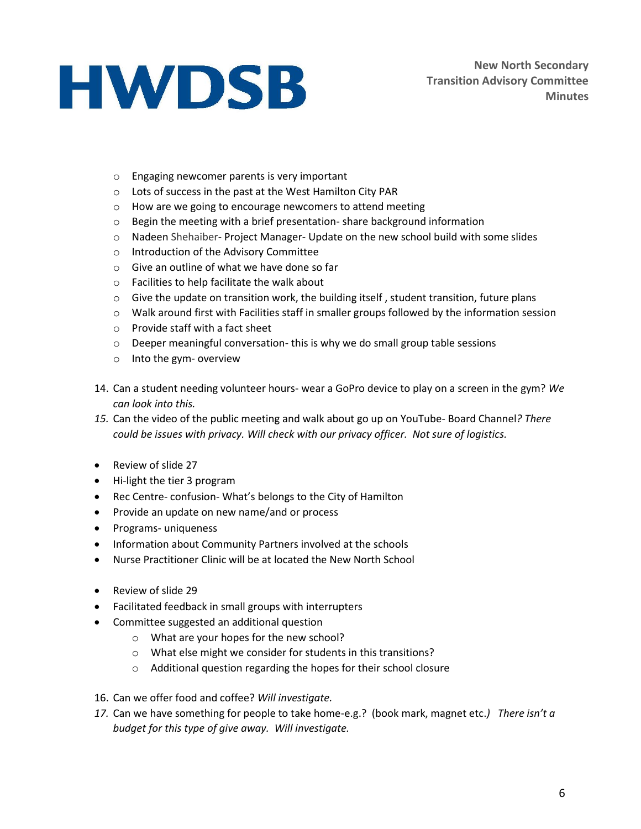- o Engaging newcomer parents is very important
- o Lots of success in the past at the West Hamilton City PAR
- o How are we going to encourage newcomers to attend meeting
- o Begin the meeting with a brief presentation- share background information
- $\circ$  Nadeen Shehaiber- Project Manager- Update on the new school build with some slides
- o Introduction of the Advisory Committee
- o Give an outline of what we have done so far
- o Facilities to help facilitate the walk about
- $\circ$  Give the update on transition work, the building itself, student transition, future plans
- $\circ$  Walk around first with Facilities staff in smaller groups followed by the information session
- o Provide staff with a fact sheet
- o Deeper meaningful conversation- this is why we do small group table sessions
- o Into the gym- overview
- 14. Can a student needing volunteer hours- wear a GoPro device to play on a screen in the gym? *We can look into this.*
- *15.* Can the video of the public meeting and walk about go up on YouTube- Board Channel*? There could be issues with privacy. Will check with our privacy officer. Not sure of logistics.*
- Review of slide 27
- Hi-light the tier 3 program
- Rec Centre- confusion- What's belongs to the City of Hamilton
- Provide an update on new name/and or process
- Programs- uniqueness
- Information about Community Partners involved at the schools
- Nurse Practitioner Clinic will be at located the New North School
- Review of slide 29
- Facilitated feedback in small groups with interrupters
- Committee suggested an additional question
	- o What are your hopes for the new school?
	- o What else might we consider for students in this transitions?
	- o Additional question regarding the hopes for their school closure
- 16. Can we offer food and coffee? *Will investigate.*
- *17.* Can we have something for people to take home-e.g.? (book mark, magnet etc.*) There isn't a budget for this type of give away. Will investigate.*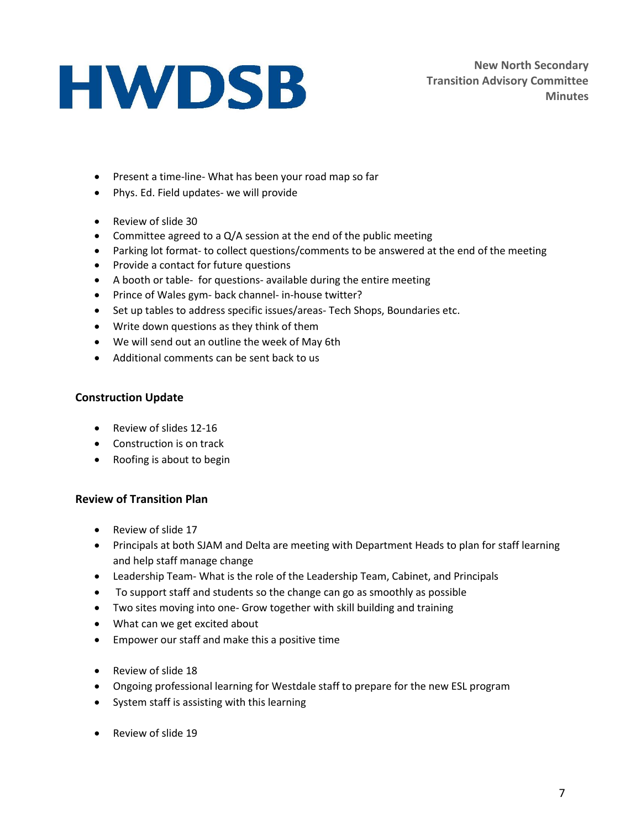**New North Secondary Transition Advisory Committee Minutes**

- Present a time-line- What has been your road map so far
- Phys. Ed. Field updates- we will provide
- Review of slide 30
- Committee agreed to a  $Q/A$  session at the end of the public meeting
- Parking lot format- to collect questions/comments to be answered at the end of the meeting
- Provide a contact for future questions
- A booth or table- for questions- available during the entire meeting
- Prince of Wales gym- back channel- in-house twitter?
- Set up tables to address specific issues/areas- Tech Shops, Boundaries etc.
- Write down questions as they think of them
- We will send out an outline the week of May 6th
- Additional comments can be sent back to us

#### **Construction Update**

- Review of slides 12-16
- Construction is on track
- Roofing is about to begin

#### **Review of Transition Plan**

- Review of slide 17
- Principals at both SJAM and Delta are meeting with Department Heads to plan for staff learning and help staff manage change
- Leadership Team- What is the role of the Leadership Team, Cabinet, and Principals
- To support staff and students so the change can go as smoothly as possible
- Two sites moving into one- Grow together with skill building and training
- What can we get excited about
- Empower our staff and make this a positive time
- Review of slide 18
- Ongoing professional learning for Westdale staff to prepare for the new ESL program
- System staff is assisting with this learning
- Review of slide 19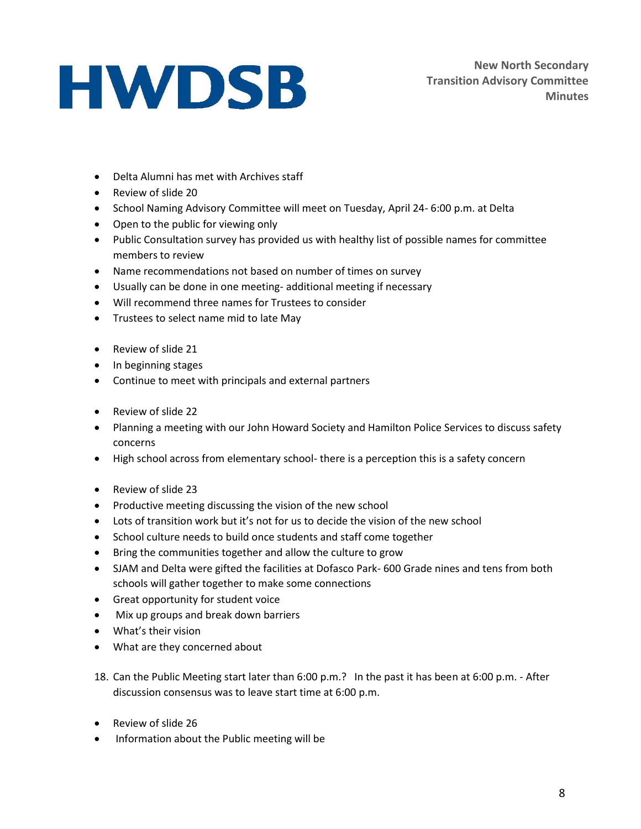- Delta Alumni has met with Archives staff
- Review of slide 20
- School Naming Advisory Committee will meet on Tuesday, April 24- 6:00 p.m. at Delta
- Open to the public for viewing only
- Public Consultation survey has provided us with healthy list of possible names for committee members to review
- Name recommendations not based on number of times on survey
- Usually can be done in one meeting- additional meeting if necessary
- Will recommend three names for Trustees to consider
- Trustees to select name mid to late May
- Review of slide 21
- In beginning stages
- Continue to meet with principals and external partners
- Review of slide 22
- Planning a meeting with our John Howard Society and Hamilton Police Services to discuss safety concerns
- High school across from elementary school- there is a perception this is a safety concern
- Review of slide 23
- Productive meeting discussing the vision of the new school
- Lots of transition work but it's not for us to decide the vision of the new school
- School culture needs to build once students and staff come together
- Bring the communities together and allow the culture to grow
- SJAM and Delta were gifted the facilities at Dofasco Park- 600 Grade nines and tens from both schools will gather together to make some connections
- Great opportunity for student voice
- Mix up groups and break down barriers
- What's their vision
- What are they concerned about
- 18. Can the Public Meeting start later than 6:00 p.m.? In the past it has been at 6:00 p.m. After discussion consensus was to leave start time at 6:00 p.m.
- Review of slide 26
- Information about the Public meeting will be